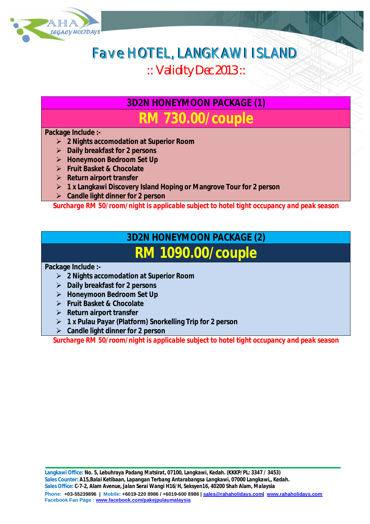

# Fave HOTEL, LANGKAWI ISLAND *:: Validity Dec 2013 ::*

## **3D2N HONEYMOON PACKAGE (1) RM 730.00/couple**

**Package Include :-**

- **2 Nights accomodation at Superior Room**
- **Daily breakfast for 2 persons**
- **Honeymoon Bedroom Set Up**
- **Fruit Basket & Chocolate**
- **Return airport transfer**
- **1 x Langkawi Discovery Island Hoping or Mangrove Tour for 2 person**
- **Candle light dinner for 2 person**

*Surcharge RM 50/room/night is applicable subject to hotel tight occupancy and peak season*

## **3D2N HONEYMOON PACKAGE (2) RM 1090.00/couple**

**Package Include :-**

- **2 Nights accomodation at Superior Room**
- **Daily breakfast for 2 persons**
- **Honeymoon Bedroom Set Up**
- **Fruit Basket & Chocolate**
- **Return airport transfer**
- **1 x Pulau Payar (Platform) Snorkelling Trip for 2 person**
- **Candle light dinner for 2 person**

*Surcharge RM 50/room/night is applicable subject to hotel tight occupancy and peak season*